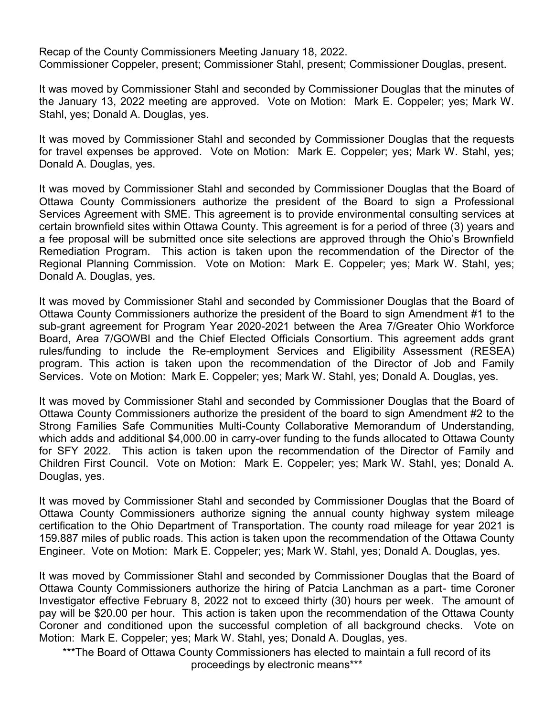Recap of the County Commissioners Meeting January 18, 2022. Commissioner Coppeler, present; Commissioner Stahl, present; Commissioner Douglas, present.

It was moved by Commissioner Stahl and seconded by Commissioner Douglas that the minutes of the January 13, 2022 meeting are approved. Vote on Motion: Mark E. Coppeler; yes; Mark W. Stahl, yes; Donald A. Douglas, yes.

It was moved by Commissioner Stahl and seconded by Commissioner Douglas that the requests for travel expenses be approved. Vote on Motion: Mark E. Coppeler; yes; Mark W. Stahl, yes; Donald A. Douglas, yes.

It was moved by Commissioner Stahl and seconded by Commissioner Douglas that the Board of Ottawa County Commissioners authorize the president of the Board to sign a Professional Services Agreement with SME. This agreement is to provide environmental consulting services at certain brownfield sites within Ottawa County. This agreement is for a period of three (3) years and a fee proposal will be submitted once site selections are approved through the Ohio's Brownfield Remediation Program. This action is taken upon the recommendation of the Director of the Regional Planning Commission. Vote on Motion: Mark E. Coppeler; yes; Mark W. Stahl, yes; Donald A. Douglas, yes.

It was moved by Commissioner Stahl and seconded by Commissioner Douglas that the Board of Ottawa County Commissioners authorize the president of the Board to sign Amendment #1 to the sub-grant agreement for Program Year 2020-2021 between the Area 7/Greater Ohio Workforce Board, Area 7/GOWBI and the Chief Elected Officials Consortium. This agreement adds grant rules/funding to include the Re-employment Services and Eligibility Assessment (RESEA) program. This action is taken upon the recommendation of the Director of Job and Family Services. Vote on Motion: Mark E. Coppeler; yes; Mark W. Stahl, yes; Donald A. Douglas, yes.

It was moved by Commissioner Stahl and seconded by Commissioner Douglas that the Board of Ottawa County Commissioners authorize the president of the board to sign Amendment #2 to the Strong Families Safe Communities Multi-County Collaborative Memorandum of Understanding, which adds and additional \$4,000.00 in carry-over funding to the funds allocated to Ottawa County for SFY 2022. This action is taken upon the recommendation of the Director of Family and Children First Council. Vote on Motion: Mark E. Coppeler; yes; Mark W. Stahl, yes; Donald A. Douglas, yes.

It was moved by Commissioner Stahl and seconded by Commissioner Douglas that the Board of Ottawa County Commissioners authorize signing the annual county highway system mileage certification to the Ohio Department of Transportation. The county road mileage for year 2021 is 159.887 miles of public roads. This action is taken upon the recommendation of the Ottawa County Engineer. Vote on Motion: Mark E. Coppeler; yes; Mark W. Stahl, yes; Donald A. Douglas, yes.

It was moved by Commissioner Stahl and seconded by Commissioner Douglas that the Board of Ottawa County Commissioners authorize the hiring of Patcia Lanchman as a part- time Coroner Investigator effective February 8, 2022 not to exceed thirty (30) hours per week. The amount of pay will be \$20.00 per hour. This action is taken upon the recommendation of the Ottawa County Coroner and conditioned upon the successful completion of all background checks. Vote on Motion: Mark E. Coppeler; yes; Mark W. Stahl, yes; Donald A. Douglas, yes.

\*\*\*The Board of Ottawa County Commissioners has elected to maintain a full record of its proceedings by electronic means\*\*\*